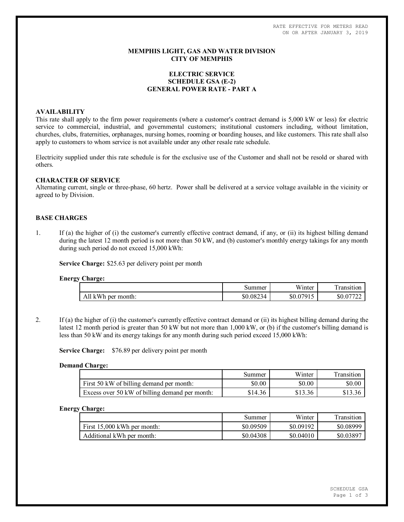RATE EFFECTIVE FOR METERS READ ON OR AFTER JANUARY 3, 2019

## **MEMPHIS LIGHT, GAS AND WATER DIVISION CITY OF MEMPHIS**

## **ELECTRIC SERVICE SCHEDULE GSA (E-2) GENERAL POWER RATE - PART A**

## **AVAILABILITY**

This rate shall apply to the firm power requirements (where a customer's contract demand is 5,000 kW or less) for electric service to commercial, industrial, and governmental customers; institutional customers including, without limitation, churches, clubs, fraternities, orphanages, nursing homes, rooming or boarding houses, and like customers. This rate shall also apply to customers to whom service is not available under any other resale rate schedule.

Electricity supplied under this rate schedule is for the exclusive use of the Customer and shall not be resold or shared with others.

### **CHARACTER OF SERVICE**

Alternating current, single or three-phase, 60 hertz. Power shall be delivered at a service voltage available in the vicinity or agreed to by Division.

# **BASE CHARGES**

1. If (a) the higher of (i) the customer's currently effective contract demand, if any, or (ii) its highest billing demand during the latest 12 month period is not more than 50 kW, and (b) customer's monthly energy takings for any month during such period do not exceed 15,000 kWh:

**Service Charge:** \$25.63 per delivery point per month

### **Energy Charge:**

| ້ | .                     |                |                             |                  |
|---|-----------------------|----------------|-----------------------------|------------------|
|   |                       | Summer         | T T T<br>Winter             | —<br>ransition   |
|   | All kWh<br>per month: | \$0.0823<br>34 | 07015<br>$$0.0^\circ$<br>ு. | ሰሰ<br>DU.U<br>∠∠ |

2. If (a) the higher of (i) the customer's currently effective contract demand or (ii) its highest billing demand during the latest 12 month period is greater than 50 kW but not more than 1,000 kW, or (b) if the customer's billing demand is less than 50 kW and its energy takings for any month during such period exceed 15,000 kWh:

**Service Charge:** \$76.89 per delivery point per month

### **Demand Charge:**

|                                                | Summer  | Winter  | Transition |
|------------------------------------------------|---------|---------|------------|
| First 50 kW of billing demand per month:       | \$0.00  | \$0.00  | \$0.00     |
| Excess over 50 kW of billing demand per month: | \$14.36 | \$13.36 |            |

### **Energy Charge:**

|                               | Summer    | Winter    | Transition |
|-------------------------------|-----------|-----------|------------|
| First $15,000$ kWh per month: | \$0.09509 | \$0.09192 | \$0.08999  |
| Additional kWh per month:     | \$0.04308 | \$0.04010 | \$0.03897  |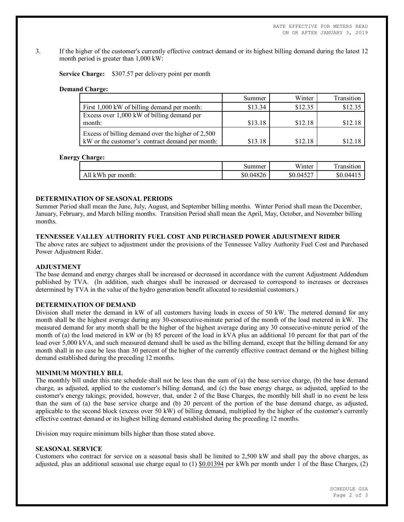3. If the higher of the customer's currently effective contract demand or its highest billing demand during the latest 12 month period is greater than 1,000 kW:

**Service Charge:** \$307.57 per delivery point per month

### **Demand Charge:**

|                                                                                                      | Summer  | Winter  | Transition |
|------------------------------------------------------------------------------------------------------|---------|---------|------------|
| First 1,000 kW of billing demand per month:                                                          | \$13.34 | \$12.35 | \$12.35    |
| Excess over 1,000 kW of billing demand per<br>month:                                                 | \$13.18 | \$12.18 | \$12.18    |
| Excess of billing demand over the higher of 2,500<br>kW or the customer's contract demand per month: | \$13.18 | \$12.18 | \$12.18    |

### **Energy Charge:**

|                       | Summer    | <b>TTT</b><br>Winter | $\sim$<br>ransition |
|-----------------------|-----------|----------------------|---------------------|
| All kWh<br>per month: | \$0.04826 | \$0.04527            | \$0.044             |

## **DETERMINATION OF SEASONAL PERIODS**

Summer Period shall mean the June, July, August, and September billing months. Winter Period shall mean the December, January, February, and March billing months. Transition Period shall mean the April, May, October, and November billing months.

# **TENNESSEE VALLEY AUTHORITY FUEL COST AND PURCHASED POWER ADJUSTMENT RIDER**

The above rates are subject to adjustment under the provisions of the Tennessee Valley Authority Fuel Cost and Purchased Power Adjustment Rider.

### **ADJUSTMENT**

The base demand and energy charges shall be increased or decreased in accordance with the current Adjustment Addendum published by TVA. (In addition, such charges shall be increased or decreased to correspond to increases or decreases determined by TVA in the value of the hydro generation benefit allocated to residential customers.)

## **DETERMINATION OF DEMAND**

Division shall meter the demand in kW of all customers having loads in excess of 50 kW. The metered demand for any month shall be the highest average during any 30-consecutive-minute period of the month of the load metered in kW. The measured demand for any month shall be the higher of the highest average during any 30 consecutive-minute period of the month of (a) the load metered in kW or (b) 85 percent of the load in kVA plus an additional 10 percent for that part of the load over 5,000 kVA, and such measured demand shall be used as the billing demand, except that the billing demand for any month shall in no case be less than 30 percent of the higher of the currently effective contract demand or the highest billing demand established during the preceding 12 months.

### **MINIMUM MONTHLY BILL**

The monthly bill under this rate schedule shall not be less than the sum of (a) the base service charge, (b) the base demand charge, as adjusted, applied to the customer's billing demand, and (c) the base energy charge, as adjusted, applied to the customer's energy takings; provided, however, that, under 2 of the Base Charges, the monthly bill shall in no event be less than the sum of (a) the base service charge and (b) 20 percent of the portion of the base demand charge, as adjusted, applicable to the second block (excess over 50 kW) of billing demand, multiplied by the higher of the customer's currently effective contract demand or its highest billing demand established during the preceding 12 months.

Division may require minimum bills higher than those stated above.

## **SEASONAL SERVICE**

Customers who contract for service on a seasonal basis shall be limited to 2,500 kW and shall pay the above charges, as adjusted, plus an additional seasonal use charge equal to  $(1)$  \$0.01394 per kWh per month under 1 of the Base Charges,  $(2)$